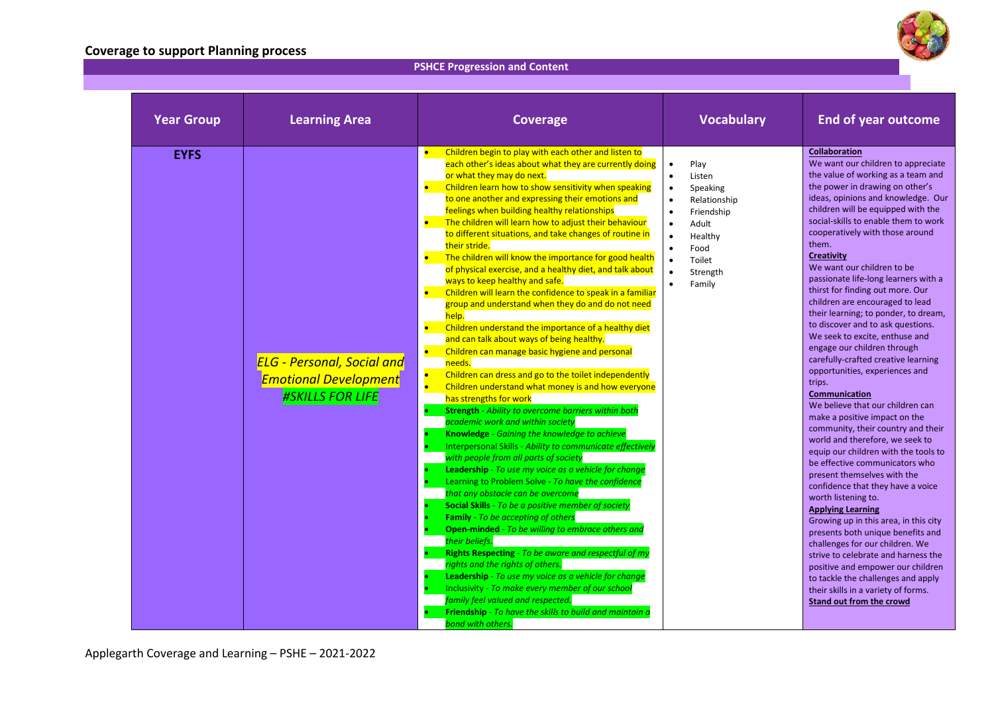

#### **PSHCE Progression and Content**

| <b>Year Group</b> | <b>Learning Area</b>                                                                         | <b>Coverage</b>                                                                                                                                                                                                                                                                                                                                                                                                                                                                                                                                                                                                                                                                                                                                                                                                                                                                                                                                                                                                                                                                                                                                                                                                                                                                                                                                                                                                                                                                                                                                                                                                                                                                                                                                                                                                                                                                                                                                                                                                                    | <b>Vocabulary</b>                                                                                                                                                                                                                                                   | <b>End of year outcome</b>                                                                                                                                                                                                                                                                                                                                                                                                                                                                                                                                                                                                                                                                                                                                                                                                                                                                                                                                                                                                                                                                                                                                                                                                                                                                                                                                                   |
|-------------------|----------------------------------------------------------------------------------------------|------------------------------------------------------------------------------------------------------------------------------------------------------------------------------------------------------------------------------------------------------------------------------------------------------------------------------------------------------------------------------------------------------------------------------------------------------------------------------------------------------------------------------------------------------------------------------------------------------------------------------------------------------------------------------------------------------------------------------------------------------------------------------------------------------------------------------------------------------------------------------------------------------------------------------------------------------------------------------------------------------------------------------------------------------------------------------------------------------------------------------------------------------------------------------------------------------------------------------------------------------------------------------------------------------------------------------------------------------------------------------------------------------------------------------------------------------------------------------------------------------------------------------------------------------------------------------------------------------------------------------------------------------------------------------------------------------------------------------------------------------------------------------------------------------------------------------------------------------------------------------------------------------------------------------------------------------------------------------------------------------------------------------------|---------------------------------------------------------------------------------------------------------------------------------------------------------------------------------------------------------------------------------------------------------------------|------------------------------------------------------------------------------------------------------------------------------------------------------------------------------------------------------------------------------------------------------------------------------------------------------------------------------------------------------------------------------------------------------------------------------------------------------------------------------------------------------------------------------------------------------------------------------------------------------------------------------------------------------------------------------------------------------------------------------------------------------------------------------------------------------------------------------------------------------------------------------------------------------------------------------------------------------------------------------------------------------------------------------------------------------------------------------------------------------------------------------------------------------------------------------------------------------------------------------------------------------------------------------------------------------------------------------------------------------------------------------|
| <b>EYFS</b>       | <b>ELG - Personal, Social and</b><br><b>Emotional Development</b><br><b>#SKILLS FOR LIFE</b> | Children begin to play with each other and listen to<br>each other's ideas about what they are currently doing<br>or what they may do next.<br>$\bullet$<br>Children learn how to show sensitivity when speaking<br>to one another and expressing their emotions and<br>feelings when building healthy relationships<br>The children will learn how to adjust their behaviour<br>to different situations, and take changes of routine in<br>their stride.<br>$\bullet$<br>The children will know the importance for good health<br>of physical exercise, and a healthy diet, and talk about<br>ways to keep healthy and safe.<br>Children will learn the confidence to speak in a familiar<br>group and understand when they do and do not need<br>help.<br>$\bullet$<br>Children understand the importance of a healthy diet<br>and can talk about ways of being healthy.<br>$\bullet$<br>Children can manage basic hygiene and personal<br>needs.<br>$\bullet$<br>Children can dress and go to the toilet independently<br>Children understand what money is and how everyone<br>has strengths for work<br><b>Strength</b> - Ability to overcome barriers within both<br>academic work and within society<br>Knowledge - Gaining the knowledge to achieve<br>Interpersonal Skills - Ability to communicate effectively<br>with people from all parts of society<br>Leadership - To use my voice as a vehicle for change<br>Learning to Problem Solve - To have the confidence<br>that any obstacle can be overcome<br><b>Social Skills</b> - To be a positive member of society<br><b>Family</b> - To be accepting of others<br>Open-minded - To be willing to embrace others and<br>their beliefs.<br>Rights Respecting - To be aware and respectful of my<br>rights and the rights of others.<br>Leadership - To use my voice as a vehicle for change<br>Inclusivity - To make every member of our school<br>family feel valued and respected.<br>Friendship - To have the skills to build and maintain a<br>bond with others. | Play<br>$\bullet$<br>Listen<br>$\bullet$<br>Speaking<br>$\bullet$<br>Relationship<br>$\bullet$<br>Friendship<br>$\bullet$<br>Adult<br>$\bullet$<br>Healthy<br>$\bullet$<br>Food<br>$\bullet$<br>Toilet<br>$\bullet$<br>$\bullet$<br>Strength<br>Family<br>$\bullet$ | <b>Collaboration</b><br>We want our children to appreciate<br>the value of working as a team and<br>the power in drawing on other's<br>ideas, opinions and knowledge. Our<br>children will be equipped with the<br>social-skills to enable them to work<br>cooperatively with those around<br>them.<br><b>Creativity</b><br>We want our children to be<br>passionate life-long learners with a<br>thirst for finding out more. Our<br>children are encouraged to lead<br>their learning; to ponder, to dream,<br>to discover and to ask questions.<br>We seek to excite, enthuse and<br>engage our children through<br>carefully-crafted creative learning<br>opportunities, experiences and<br>trips.<br>Communication<br>We believe that our children can<br>make a positive impact on the<br>community, their country and their<br>world and therefore, we seek to<br>equip our children with the tools to<br>be effective communicators who<br>present themselves with the<br>confidence that they have a voice<br>worth listening to.<br><b>Applying Learning</b><br>Growing up in this area, in this city<br>presents both unique benefits and<br>challenges for our children. We<br>strive to celebrate and harness the<br>positive and empower our children<br>to tackle the challenges and apply<br>their skills in a variety of forms.<br>Stand out from the crowd |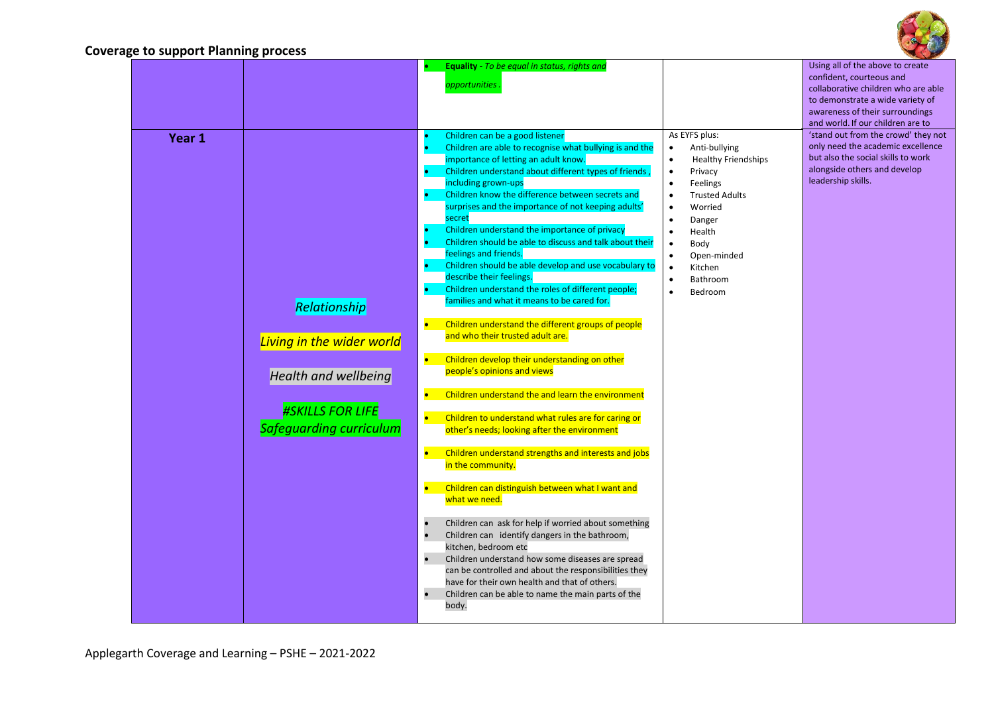

|        |                                                                                                                                              | <b>Equality</b> - To be equal in status, rights and<br>opportunities                                                                                                                                                                                                                                                                                                                                                                                                                                                                                                                                                                                                                                                                                                                                                                                                                                                                                                                                                                                                                                                                                                                                                                                                                                                                                                                                                                                                                                                                                                                                                                  |                                                                                                                                                                                                                                                                                                                                                                               | Using all of the above to create<br>confident, courteous and<br>collaborative children who are able<br>to demonstrate a wide variety of<br>awareness of their surroundings<br>and world. If our children are to |
|--------|----------------------------------------------------------------------------------------------------------------------------------------------|---------------------------------------------------------------------------------------------------------------------------------------------------------------------------------------------------------------------------------------------------------------------------------------------------------------------------------------------------------------------------------------------------------------------------------------------------------------------------------------------------------------------------------------------------------------------------------------------------------------------------------------------------------------------------------------------------------------------------------------------------------------------------------------------------------------------------------------------------------------------------------------------------------------------------------------------------------------------------------------------------------------------------------------------------------------------------------------------------------------------------------------------------------------------------------------------------------------------------------------------------------------------------------------------------------------------------------------------------------------------------------------------------------------------------------------------------------------------------------------------------------------------------------------------------------------------------------------------------------------------------------------|-------------------------------------------------------------------------------------------------------------------------------------------------------------------------------------------------------------------------------------------------------------------------------------------------------------------------------------------------------------------------------|-----------------------------------------------------------------------------------------------------------------------------------------------------------------------------------------------------------------|
| Year 1 | <b>Relationship</b><br>Living in the wider world<br><b>Health and wellbeing</b><br><b>#SKILLS FOR LIFE</b><br><b>Safeguarding curriculum</b> | Children can be a good listener<br>$\bullet$<br>Children are able to recognise what bullying is and the<br>importance of letting an adult know.<br>Children understand about different types of friends,<br>including grown-ups<br>Children know the difference between secrets and<br>$\bullet$<br>surprises and the importance of not keeping adults'<br>secret<br>Children understand the importance of privacy<br>Children should be able to discuss and talk about their<br>feelings and friends.<br>Children should be able develop and use vocabulary to<br>describe their feelings.<br>Children understand the roles of different people;<br>families and what it means to be cared for.<br>$\bullet$<br>Children understand the different groups of people<br>and who their trusted adult are.<br>$\bullet$<br>Children develop their understanding on other<br>people's opinions and views<br>Children understand the and learn the environment<br>$\bullet$<br>$\bullet$<br>Children to understand what rules are for caring or<br>other's needs; looking after the environment<br>$\bullet$<br>Children understand strengths and interests and jobs<br>in the community.<br>$\bullet$<br>Children can distinguish between what I want and<br>what we need.<br>Children can ask for help if worried about something<br>Children can identify dangers in the bathroom,<br>kitchen, bedroom etc<br>Children understand how some diseases are spread<br>can be controlled and about the responsibilities they<br>have for their own health and that of others.<br>Children can be able to name the main parts of the<br>body. | As EYFS plus:<br>Anti-bullying<br>$\bullet$<br><b>Healthy Friendships</b><br>$\bullet$<br>$\bullet$<br>Privacy<br>$\bullet$<br>Feelings<br><b>Trusted Adults</b><br>$\bullet$<br>Worried<br>$\bullet$<br>Danger<br>$\bullet$<br>$\bullet$<br>Health<br>$\bullet$<br>Body<br>Open-minded<br>$\bullet$<br>$\bullet$<br>Kitchen<br>Bathroom<br>$\bullet$<br>Bedroom<br>$\bullet$ | 'stand out from the crowd' they not<br>only need the academic excellence<br>but also the social skills to work<br>alongside others and develop<br>leadership skills.                                            |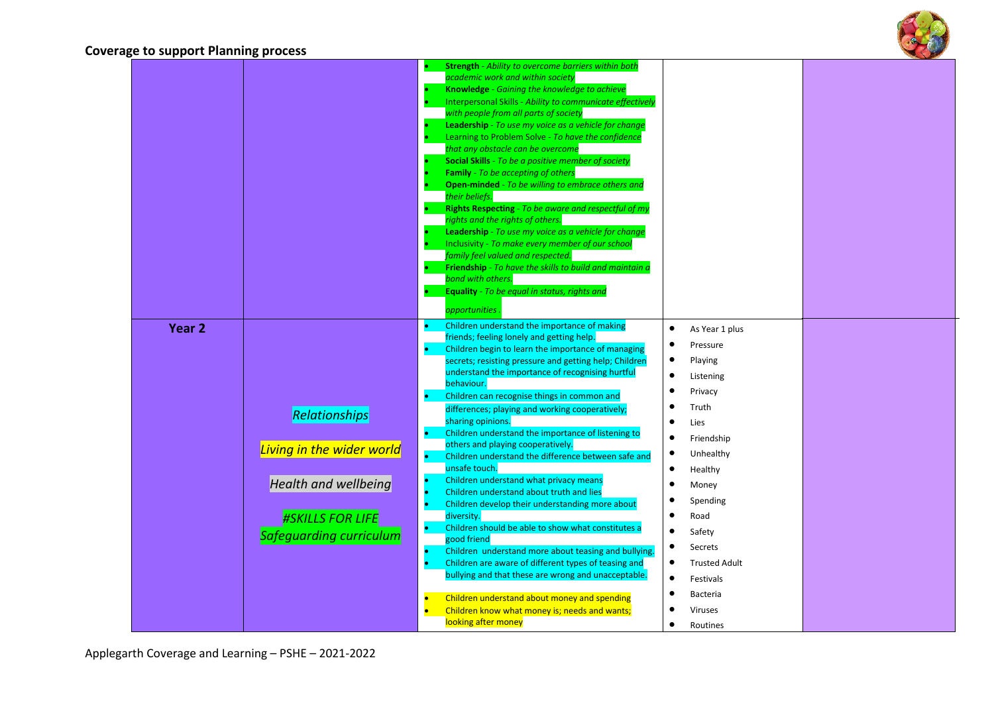

|                   |                                                                                                                                               | <b>Strength</b> - Ability to overcome barriers within both<br>academic work and within society<br><b>Knowledge</b> - Gaining the knowledge to achieve<br>Interpersonal Skills - Ability to communicate effectively<br>with people from all parts of society<br>Leadership - To use my voice as a vehicle for change<br>Learning to Problem Solve - To have the confidence<br>that any obstacle can be overcome<br><b>Social Skills</b> - To be a positive member of society<br><b>Family</b> - To be accepting of others<br><b>Open-minded</b> - To be willing to embrace others and<br>their beliefs.<br>Rights Respecting - To be aware and respectful of my<br>rights and the rights of others.<br>Leadership - To use my voice as a vehicle for change<br>Inclusivity - To make every member of our school<br>family feel valued and respected.<br>Friendship - To have the skills to build and maintain a<br>bond with others.<br><b>Equality</b> - To be equal in status, rights and<br>opportunities                                                                                      |                                                                                                                                                                                                                                                                                                                                                                                                                          |  |
|-------------------|-----------------------------------------------------------------------------------------------------------------------------------------------|--------------------------------------------------------------------------------------------------------------------------------------------------------------------------------------------------------------------------------------------------------------------------------------------------------------------------------------------------------------------------------------------------------------------------------------------------------------------------------------------------------------------------------------------------------------------------------------------------------------------------------------------------------------------------------------------------------------------------------------------------------------------------------------------------------------------------------------------------------------------------------------------------------------------------------------------------------------------------------------------------------------------------------------------------------------------------------------------------|--------------------------------------------------------------------------------------------------------------------------------------------------------------------------------------------------------------------------------------------------------------------------------------------------------------------------------------------------------------------------------------------------------------------------|--|
| Year <sub>2</sub> | <b>Relationships</b><br>Living in the wider world<br><b>Health and wellbeing</b><br><b>#SKILLS FOR LIFE</b><br><b>Safeguarding curriculum</b> | Children understand the importance of making<br>friends; feeling lonely and getting help.<br>Children begin to learn the importance of managing<br>secrets; resisting pressure and getting help; Children<br>understand the importance of recognising hurtful<br>behaviour.<br>Children can recognise things in common and<br>differences; playing and working cooperatively;<br>sharing opinions.<br>Children understand the importance of listening to<br>others and playing cooperatively.<br>Children understand the difference between safe and<br>unsafe touch.<br>Children understand what privacy means<br>Children understand about truth and lies<br>Children develop their understanding more about<br>diversity.<br>Children should be able to show what constitutes a<br>good friend<br>Children understand more about teasing and bullying.<br>Children are aware of different types of teasing and<br>bullying and that these are wrong and unacceptable.<br>Children understand about money and spending<br>Children know what money is; needs and wants;<br>looking after money | $\bullet$<br>As Year 1 plus<br>Pressure<br>٠<br>٠<br>Playing<br>$\bullet$<br>Listening<br>Privacy<br>٠<br>Truth<br>٠<br>$\bullet$<br>Lies<br>$\bullet$<br>Friendship<br>Unhealthy<br>٠<br>٠<br>Healthy<br>$\bullet$<br>Money<br>٠<br>Spending<br>$\bullet$<br>Road<br>$\bullet$<br>Safety<br>٠<br>Secrets<br>٠<br><b>Trusted Adult</b><br>٠<br>Festivals<br>٠<br><b>Bacteria</b><br>٠<br><b>Viruses</b><br>٠<br>Routines |  |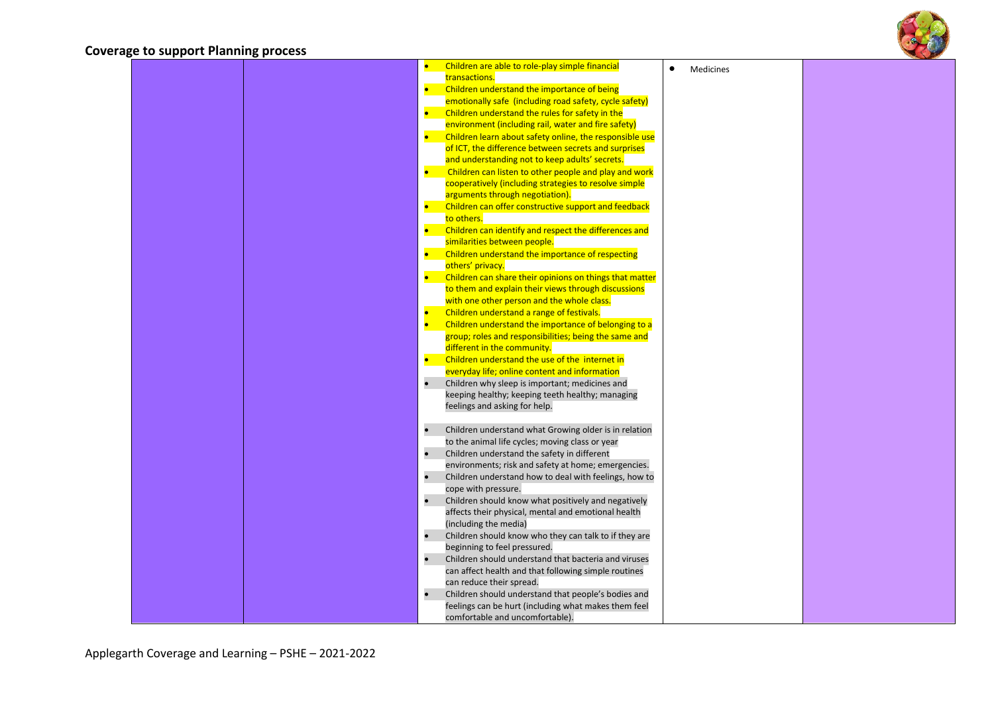

|  | $\bullet$ | Children are able to role-play simple financial                                                          | $\bullet$ | Medicines |  |
|--|-----------|----------------------------------------------------------------------------------------------------------|-----------|-----------|--|
|  |           | transactions.                                                                                            |           |           |  |
|  |           | Children understand the importance of being                                                              |           |           |  |
|  |           | emotionally safe (including road safety, cycle safety)                                                   |           |           |  |
|  | $\bullet$ | Children understand the rules for safety in the                                                          |           |           |  |
|  |           | environment (including rail, water and fire safety)                                                      |           |           |  |
|  |           | Children learn about safety online, the responsible use                                                  |           |           |  |
|  |           | of ICT, the difference between secrets and surprises                                                     |           |           |  |
|  |           | and understanding not to keep adults' secrets.                                                           |           |           |  |
|  | $\bullet$ | Children can listen to other people and play and work                                                    |           |           |  |
|  |           | cooperatively (including strategies to resolve simple                                                    |           |           |  |
|  |           | arguments through negotiation).                                                                          |           |           |  |
|  | $\bullet$ | Children can offer constructive support and feedback                                                     |           |           |  |
|  |           | to others.                                                                                               |           |           |  |
|  | $\bullet$ | Children can identify and respect the differences and                                                    |           |           |  |
|  | $\bullet$ | similarities between people.<br>Children understand the importance of respecting                         |           |           |  |
|  |           | others' privacy.                                                                                         |           |           |  |
|  |           | Children can share their opinions on things that matter                                                  |           |           |  |
|  |           | to them and explain their views through discussions                                                      |           |           |  |
|  |           | with one other person and the whole class.                                                               |           |           |  |
|  | $\bullet$ | Children understand a range of festivals.                                                                |           |           |  |
|  |           | Children understand the importance of belonging to a                                                     |           |           |  |
|  |           | group; roles and responsibilities; being the same and                                                    |           |           |  |
|  |           | different in the community.                                                                              |           |           |  |
|  | $\bullet$ | Children understand the use of the internet in                                                           |           |           |  |
|  |           | everyday life; online content and information                                                            |           |           |  |
|  |           | Children why sleep is important; medicines and                                                           |           |           |  |
|  |           | keeping healthy; keeping teeth healthy; managing                                                         |           |           |  |
|  |           | feelings and asking for help.                                                                            |           |           |  |
|  |           |                                                                                                          |           |           |  |
|  |           | Children understand what Growing older is in relation<br>to the animal life cycles; moving class or year |           |           |  |
|  |           | Children understand the safety in different                                                              |           |           |  |
|  |           | environments; risk and safety at home; emergencies.                                                      |           |           |  |
|  |           | Children understand how to deal with feelings, how to                                                    |           |           |  |
|  |           | cope with pressure.                                                                                      |           |           |  |
|  |           | Children should know what positively and negatively                                                      |           |           |  |
|  |           | affects their physical, mental and emotional health                                                      |           |           |  |
|  |           | (including the media)                                                                                    |           |           |  |
|  | $\bullet$ | Children should know who they can talk to if they are                                                    |           |           |  |
|  |           | beginning to feel pressured.                                                                             |           |           |  |
|  |           | Children should understand that bacteria and viruses                                                     |           |           |  |
|  |           | can affect health and that following simple routines                                                     |           |           |  |
|  |           | can reduce their spread.                                                                                 |           |           |  |
|  |           | Children should understand that people's bodies and                                                      |           |           |  |
|  |           | feelings can be hurt (including what makes them feel<br>comfortable and uncomfortable).                  |           |           |  |
|  |           |                                                                                                          |           |           |  |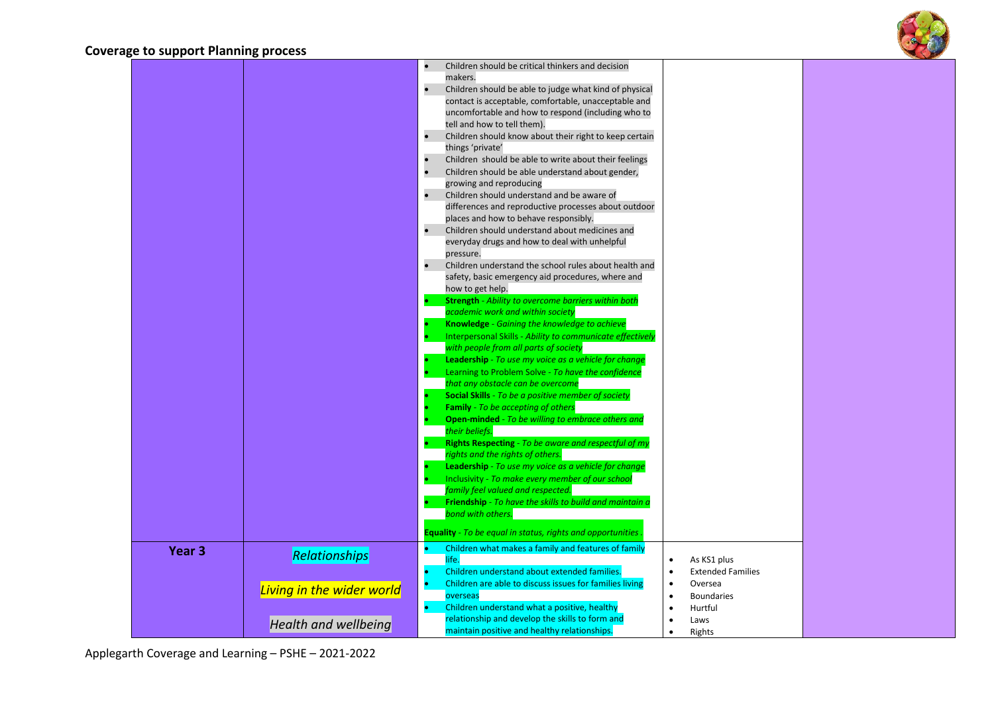

|        |                             | Children should be critical thinkers and decision                                     |  |
|--------|-----------------------------|---------------------------------------------------------------------------------------|--|
|        |                             | makers.                                                                               |  |
|        |                             | Children should be able to judge what kind of physical                                |  |
|        |                             | contact is acceptable, comfortable, unacceptable and                                  |  |
|        |                             | uncomfortable and how to respond (including who to                                    |  |
|        |                             | tell and how to tell them).                                                           |  |
|        |                             | Children should know about their right to keep certain                                |  |
|        |                             | things 'private'                                                                      |  |
|        |                             | Children should be able to write about their feelings                                 |  |
|        |                             | Children should be able understand about gender,                                      |  |
|        |                             | growing and reproducing                                                               |  |
|        |                             | Children should understand and be aware of                                            |  |
|        |                             | differences and reproductive processes about outdoor                                  |  |
|        |                             | places and how to behave responsibly.                                                 |  |
|        |                             | Children should understand about medicines and                                        |  |
|        |                             | everyday drugs and how to deal with unhelpful<br>pressure.                            |  |
|        |                             | $\bullet$<br>Children understand the school rules about health and                    |  |
|        |                             | safety, basic emergency aid procedures, where and                                     |  |
|        |                             | how to get help.                                                                      |  |
|        |                             | <b>Strength - Ability to overcome barriers within both</b>                            |  |
|        |                             | academic work and within society                                                      |  |
|        |                             | <b>Knowledge</b> - Gaining the knowledge to achieve                                   |  |
|        |                             | Interpersonal Skills - Ability to communicate effectively                             |  |
|        |                             | with people from all parts of society                                                 |  |
|        |                             | Leadership - To use my voice as a vehicle for change                                  |  |
|        |                             | Learning to Problem Solve - To have the confidence                                    |  |
|        |                             | that any obstacle can be overcome                                                     |  |
|        |                             | <b>Social Skills</b> - To be a positive member of society                             |  |
|        |                             | Family - To be accepting of others                                                    |  |
|        |                             | <b>Open-minded</b> - To be willing to embrace others and                              |  |
|        |                             | their beliefs.                                                                        |  |
|        |                             | Rights Respecting - To be aware and respectful of my                                  |  |
|        |                             | rights and the rights of others.                                                      |  |
|        |                             | Leadership - To use my voice as a vehicle for change                                  |  |
|        |                             | Inclusivity - To make every member of our school                                      |  |
|        |                             | family feel valued and respected.                                                     |  |
|        |                             | Friendship - To have the skills to build and maintain a                               |  |
|        |                             | bond with others.                                                                     |  |
|        |                             | <b>Equality</b> - To be equal in status, rights and opportunities                     |  |
| Year 3 |                             | Children what makes a family and features of family                                   |  |
|        | <b>Relationships</b>        | life.<br>As KS1 plus<br>$\bullet$                                                     |  |
|        |                             | Children understand about extended families.<br><b>Extended Families</b><br>$\bullet$ |  |
|        | Living in the wider world   | Children are able to discuss issues for families living<br>Oversea<br>$\bullet$       |  |
|        |                             | overseas<br><b>Boundaries</b><br>$\bullet$                                            |  |
|        |                             | Children understand what a positive, healthy<br>Hurtful<br>$\bullet$                  |  |
|        | <b>Health and wellbeing</b> | relationship and develop the skills to form and<br>$\bullet$<br>Laws                  |  |
|        |                             | maintain positive and healthy relationships.<br>Rights<br>$\bullet$                   |  |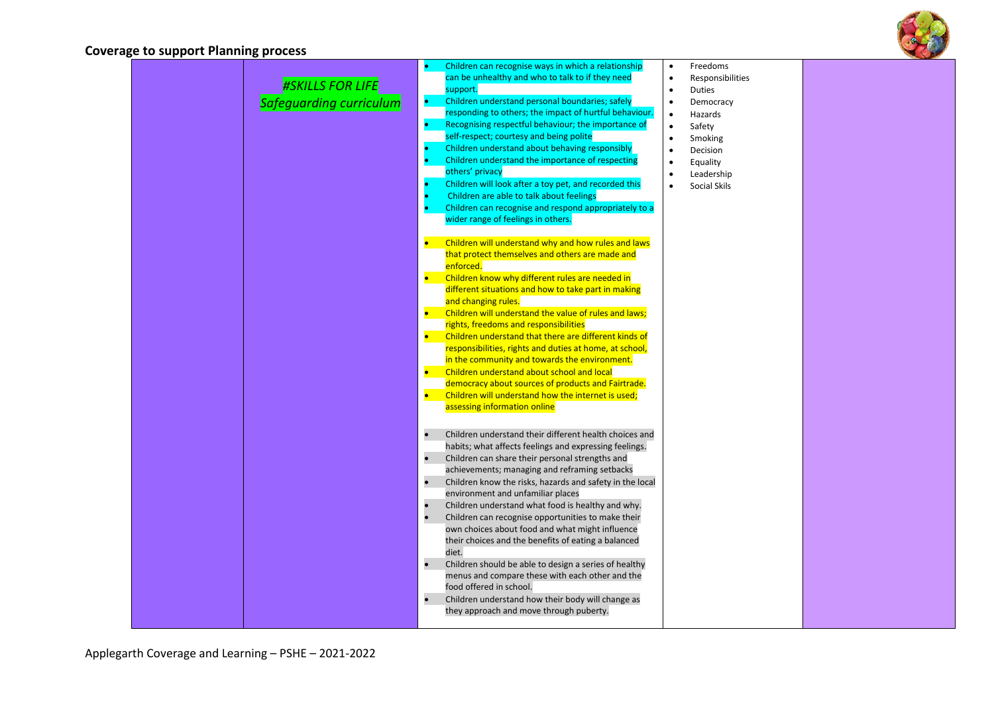

|                                | Children can recognise ways in which a relationship<br>can be unhealthy and who to talk to if they need | Freedoms<br>$\bullet$<br>Responsibilities |  |
|--------------------------------|---------------------------------------------------------------------------------------------------------|-------------------------------------------|--|
| <b>#SKILLS FOR LIFE</b>        | support.                                                                                                | Duties<br>$\bullet$                       |  |
| <b>Safeguarding curriculum</b> | Children understand personal boundaries; safely                                                         | Democracy<br>$\bullet$                    |  |
|                                | responding to others; the impact of hurtful behaviour.                                                  | Hazards<br>$\bullet$                      |  |
|                                | Recognising respectful behaviour; the importance of                                                     | $\bullet$<br>Safety                       |  |
|                                | self-respect; courtesy and being polite                                                                 | Smoking<br>$\bullet$                      |  |
|                                | Children understand about behaving responsibly                                                          | Decision<br>$\bullet$                     |  |
|                                | Children understand the importance of respecting                                                        | Equality<br>$\bullet$                     |  |
|                                | others' privacy                                                                                         | Leadership<br>$\bullet$                   |  |
|                                | Children will look after a toy pet, and recorded this                                                   | Social Skils<br>$\bullet$                 |  |
|                                | Children are able to talk about feelings                                                                |                                           |  |
|                                | Children can recognise and respond appropriately to a                                                   |                                           |  |
|                                | wider range of feelings in others.                                                                      |                                           |  |
|                                | $\bullet$<br>Children will understand why and how rules and laws                                        |                                           |  |
|                                | that protect themselves and others are made and                                                         |                                           |  |
|                                | enforced.                                                                                               |                                           |  |
|                                | Children know why different rules are needed in                                                         |                                           |  |
|                                | different situations and how to take part in making                                                     |                                           |  |
|                                | and changing rules.<br>Children will understand the value of rules and laws;                            |                                           |  |
|                                | $\bullet$<br>rights, freedoms and responsibilities                                                      |                                           |  |
|                                | Children understand that there are different kinds of                                                   |                                           |  |
|                                | responsibilities, rights and duties at home, at school,                                                 |                                           |  |
|                                | in the community and towards the environment.                                                           |                                           |  |
|                                | $\bullet$<br>Children understand about school and local                                                 |                                           |  |
|                                | democracy about sources of products and Fairtrade.                                                      |                                           |  |
|                                | $\bullet$<br>Children will understand how the internet is used;                                         |                                           |  |
|                                | assessing information online                                                                            |                                           |  |
|                                | $\bullet$<br>Children understand their different health choices and                                     |                                           |  |
|                                | habits; what affects feelings and expressing feelings.                                                  |                                           |  |
|                                | Children can share their personal strengths and                                                         |                                           |  |
|                                | achievements; managing and reframing setbacks                                                           |                                           |  |
|                                | $\bullet$<br>Children know the risks, hazards and safety in the local                                   |                                           |  |
|                                | environment and unfamiliar places                                                                       |                                           |  |
|                                | $\bullet$<br>Children understand what food is healthy and why.                                          |                                           |  |
|                                | Children can recognise opportunities to make their                                                      |                                           |  |
|                                | own choices about food and what might influence                                                         |                                           |  |
|                                | their choices and the benefits of eating a balanced                                                     |                                           |  |
|                                | diet.                                                                                                   |                                           |  |
|                                | Children should be able to design a series of healthy                                                   |                                           |  |
|                                | menus and compare these with each other and the<br>food offered in school.                              |                                           |  |
|                                | $\bullet$<br>Children understand how their body will change as                                          |                                           |  |
|                                | they approach and move through puberty.                                                                 |                                           |  |
|                                |                                                                                                         |                                           |  |
|                                |                                                                                                         |                                           |  |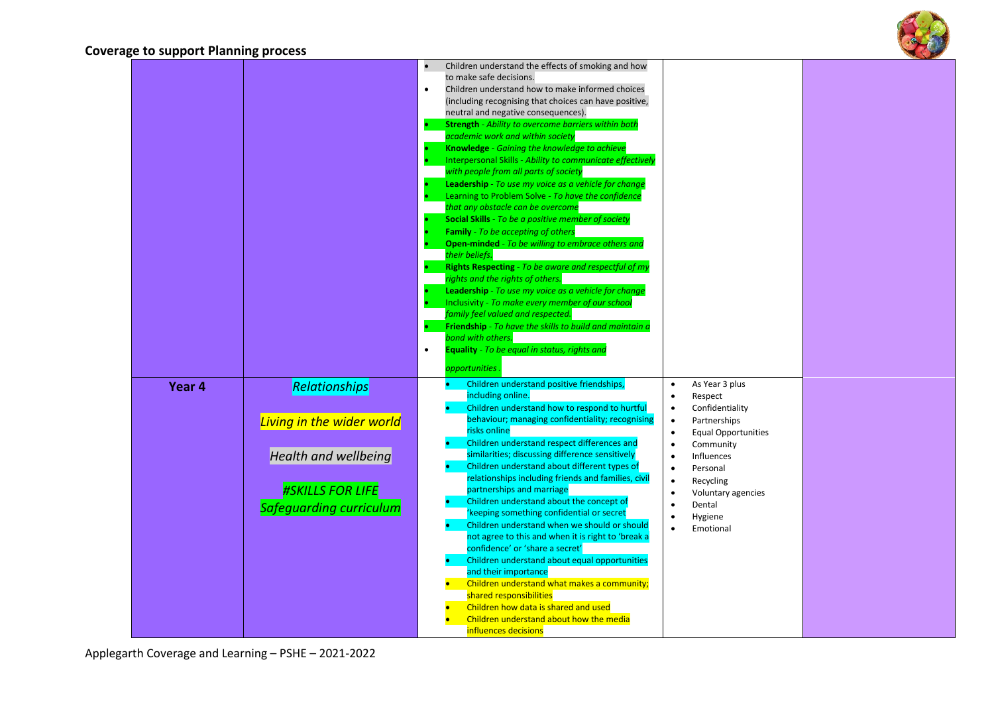

|        |                                                                                                                                               | Children understand the effects of smoking and how<br>$\bullet$<br>to make safe decisions.<br>Children understand how to make informed choices<br>$\bullet$<br>(including recognising that choices can have positive,<br>neutral and negative consequences).<br><b>Strength</b> - Ability to overcome barriers within both<br>academic work and within society<br><b>Knowledge</b> - Gaining the knowledge to achieve<br>Interpersonal Skills - Ability to communicate effectively<br>with people from all parts of society<br>Leadership - To use my voice as a vehicle for change<br>Learning to Problem Solve - To have the confidence<br>that any obstacle can be overcome<br><b>Social Skills</b> - To be a positive member of society<br><b>Family</b> - To be accepting of others<br><b>Open-minded</b> - To be willing to embrace others and<br>their beliefs.<br>Rights Respecting - To be aware and respectful of my<br>rights and the rights of others.<br>Leadership - To use my voice as a vehicle for change<br>Inclusivity - To make every member of our school<br>family feel valued and respected.<br><b>Friendship</b> - To have the skills to build and maintain a<br>bond with others. |                                                                                                                                                                                                                                                                                                                                          |  |
|--------|-----------------------------------------------------------------------------------------------------------------------------------------------|------------------------------------------------------------------------------------------------------------------------------------------------------------------------------------------------------------------------------------------------------------------------------------------------------------------------------------------------------------------------------------------------------------------------------------------------------------------------------------------------------------------------------------------------------------------------------------------------------------------------------------------------------------------------------------------------------------------------------------------------------------------------------------------------------------------------------------------------------------------------------------------------------------------------------------------------------------------------------------------------------------------------------------------------------------------------------------------------------------------------------------------------------------------------------------------------------------|------------------------------------------------------------------------------------------------------------------------------------------------------------------------------------------------------------------------------------------------------------------------------------------------------------------------------------------|--|
|        |                                                                                                                                               | Equality - To be equal in status, rights and<br>$\bullet$<br>opportunities                                                                                                                                                                                                                                                                                                                                                                                                                                                                                                                                                                                                                                                                                                                                                                                                                                                                                                                                                                                                                                                                                                                                 |                                                                                                                                                                                                                                                                                                                                          |  |
| Year 4 | <b>Relationships</b><br>Living in the wider world<br><b>Health and wellbeing</b><br><b>#SKILLS FOR LIFE</b><br><b>Safequarding curriculum</b> | Children understand positive friendships,<br>including online.<br>Children understand how to respond to hurtful<br>behaviour; managing confidentiality; recognising<br>risks online<br>Children understand respect differences and<br>similarities; discussing difference sensitively<br>Children understand about different types of<br>relationships including friends and families, civil<br>partnerships and marriage<br>Children understand about the concept of<br>'keeping something confidential or secret<br>Children understand when we should or should<br>not agree to this and when it is right to 'break a<br>confidence' or 'share a secret'<br>Children understand about equal opportunities<br>and their importance<br>Children understand what makes a community;<br>shared responsibilities<br>Children how data is shared and used<br>Children understand about how the media<br>influences decisions                                                                                                                                                                                                                                                                                  | As Year 3 plus<br>$\bullet$<br>Respect<br>$\bullet$<br>Confidentiality<br>$\bullet$<br>Partnerships<br>$\bullet$<br><b>Equal Opportunities</b><br>Community<br>$\bullet$<br>Influences<br>Personal<br>$\bullet$<br>Recycling<br>$\bullet$<br>Voluntary agencies<br>$\bullet$<br>Dental<br>Hygiene<br>$\bullet$<br>Emotional<br>$\bullet$ |  |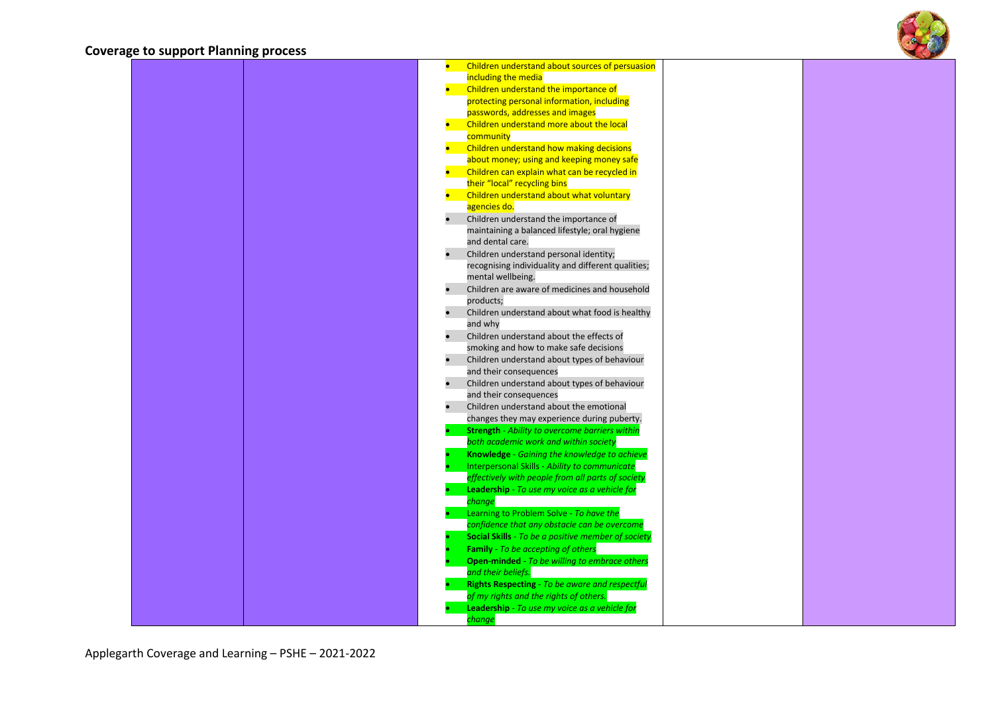

| Children understand about sources of persuasion                                               |  |
|-----------------------------------------------------------------------------------------------|--|
| including the media                                                                           |  |
| Children understand the importance of                                                         |  |
| protecting personal information, including                                                    |  |
| passwords, addresses and images                                                               |  |
| Children understand more about the local                                                      |  |
| community                                                                                     |  |
| Children understand how making decisions                                                      |  |
| about money; using and keeping money safe                                                     |  |
| Children can explain what can be recycled in                                                  |  |
| their "local" recycling bins                                                                  |  |
| Children understand about what voluntary                                                      |  |
| agencies do.                                                                                  |  |
| Children understand the importance of                                                         |  |
| maintaining a balanced lifestyle; oral hygiene                                                |  |
| and dental care.                                                                              |  |
| Children understand personal identity;<br>recognising individuality and different qualities;  |  |
| mental wellbeing.                                                                             |  |
| Children are aware of medicines and household                                                 |  |
| products;                                                                                     |  |
| Children understand about what food is healthy                                                |  |
| and why                                                                                       |  |
| Children understand about the effects of                                                      |  |
| smoking and how to make safe decisions                                                        |  |
| Children understand about types of behaviour                                                  |  |
| and their consequences                                                                        |  |
| Children understand about types of behaviour                                                  |  |
| and their consequences                                                                        |  |
| Children understand about the emotional                                                       |  |
| changes they may experience during puberty.                                                   |  |
| <b>Strength - Ability to overcome barriers within</b>                                         |  |
| both academic work and within society                                                         |  |
| Knowledge - Gaining the knowledge to achieve<br>Interpersonal Skills - Ability to communicate |  |
| effectively with people from all parts of society                                             |  |
| Leadership - To use my voice as a vehicle for                                                 |  |
| change                                                                                        |  |
| Learning to Problem Solve - To have the                                                       |  |
| confidence that any obstacle can be overcome                                                  |  |
| <b>Social Skills</b> - To be a positive member of society                                     |  |
| <b>Family</b> - To be accepting of others                                                     |  |
| Open-minded - To be willing to embrace others                                                 |  |
| and their beliefs.                                                                            |  |
| Rights Respecting - To be aware and respectful                                                |  |
| of my rights and the rights of others.                                                        |  |
| Leadership - To use my voice as a vehicle for                                                 |  |
| change                                                                                        |  |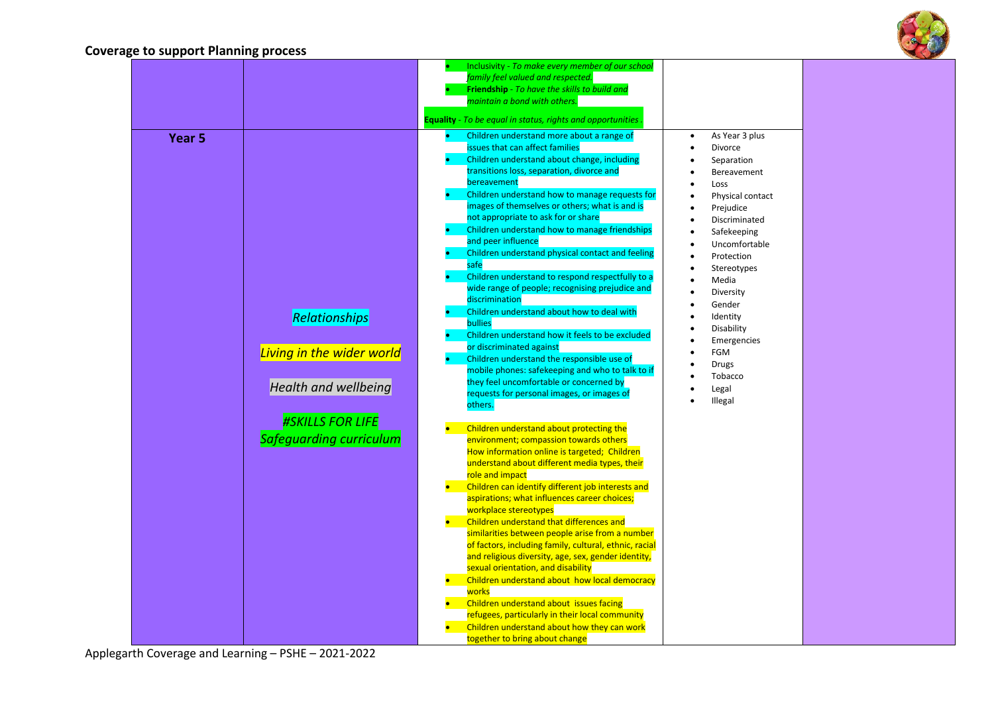

|                   |                                | Inclusivity - To make every member of our school                                              |                       |  |
|-------------------|--------------------------------|-----------------------------------------------------------------------------------------------|-----------------------|--|
|                   |                                | family feel valued and respected.                                                             |                       |  |
|                   |                                | Friendship - To have the skills to build and                                                  |                       |  |
|                   |                                | maintain a bond with others.                                                                  |                       |  |
|                   |                                | <b>Equality</b> - To be equal in status, rights and opportunities                             |                       |  |
| Year <sub>5</sub> |                                | Children understand more about a range of                                                     | As Year 3 plus        |  |
|                   |                                | issues that can affect families                                                               | Divorce               |  |
|                   |                                | Children understand about change, including                                                   | Separation            |  |
|                   |                                | transitions loss, separation, divorce and                                                     | Bereavement           |  |
|                   |                                | bereavement                                                                                   | Loss                  |  |
|                   |                                | Children understand how to manage requests for                                                | Physical contact      |  |
|                   |                                | images of themselves or others; what is and is<br>not appropriate to ask for or share         | Prejudice             |  |
|                   |                                | Children understand how to manage friendships                                                 | Discriminated         |  |
|                   |                                | and peer influence                                                                            | Safekeeping           |  |
|                   |                                | Children understand physical contact and feeling                                              | Uncomfortable         |  |
|                   |                                | safe                                                                                          | Protection            |  |
|                   |                                | Children understand to respond respectfully to a                                              | Stereotypes<br>Media  |  |
|                   |                                | wide range of people; recognising prejudice and                                               | Diversity             |  |
|                   |                                | discrimination                                                                                | Gender                |  |
|                   |                                | Children understand about how to deal with                                                    | Identity<br>$\bullet$ |  |
|                   | <b>Relationships</b>           | bullies                                                                                       | Disability            |  |
|                   |                                | Children understand how it feels to be excluded                                               | Emergencies           |  |
|                   | Living in the wider world      | or discriminated against                                                                      | FGM                   |  |
|                   |                                | Children understand the responsible use of                                                    | Drugs                 |  |
|                   |                                | mobile phones: safekeeping and who to talk to if                                              | Tobacco               |  |
|                   | <b>Health and wellbeing</b>    | they feel uncomfortable or concerned by                                                       | Legal                 |  |
|                   |                                | requests for personal images, or images of<br>others.                                         | Illegal               |  |
|                   | <b>#SKILLS FOR LIFE</b>        |                                                                                               |                       |  |
|                   |                                | Children understand about protecting the                                                      |                       |  |
|                   | <b>Safeguarding curriculum</b> | environment; compassion towards others                                                        |                       |  |
|                   |                                | How information online is targeted; Children<br>understand about different media types, their |                       |  |
|                   |                                | role and impact                                                                               |                       |  |
|                   |                                | Children can identify different job interests and                                             |                       |  |
|                   |                                | aspirations; what influences career choices;                                                  |                       |  |
|                   |                                | workplace stereotypes                                                                         |                       |  |
|                   |                                | Children understand that differences and                                                      |                       |  |
|                   |                                | similarities between people arise from a number                                               |                       |  |
|                   |                                | of factors, including family, cultural, ethnic, racial                                        |                       |  |
|                   |                                | and religious diversity, age, sex, gender identity,                                           |                       |  |
|                   |                                | sexual orientation, and disability                                                            |                       |  |
|                   |                                | Children understand about how local democracy<br>$\bullet$                                    |                       |  |
|                   |                                | works                                                                                         |                       |  |
|                   |                                | Children understand about issues facing                                                       |                       |  |
|                   |                                | refugees, particularly in their local community                                               |                       |  |
|                   |                                | Children understand about how they can work                                                   |                       |  |
|                   |                                | together to bring about change                                                                |                       |  |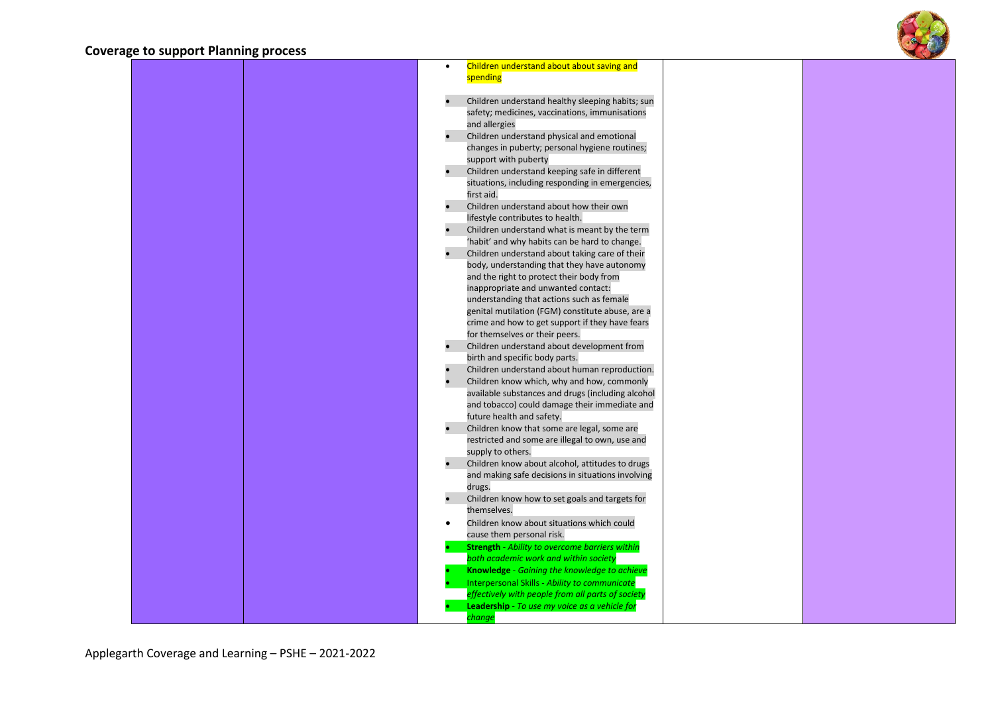



| . |           |                                                                                                    |  |
|---|-----------|----------------------------------------------------------------------------------------------------|--|
|   | $\bullet$ | Children understand about about saving and<br>spending                                             |  |
|   |           |                                                                                                    |  |
|   |           | Children understand healthy sleeping habits; sun                                                   |  |
|   |           | safety; medicines, vaccinations, immunisations                                                     |  |
|   |           | and allergies                                                                                      |  |
|   |           | Children understand physical and emotional                                                         |  |
|   |           | changes in puberty; personal hygiene routines;                                                     |  |
|   |           | support with puberty                                                                               |  |
|   | $\bullet$ | Children understand keeping safe in different                                                      |  |
|   |           | situations, including responding in emergencies,<br>first aid.                                     |  |
|   |           | Children understand about how their own                                                            |  |
|   |           | lifestyle contributes to health.                                                                   |  |
|   |           | Children understand what is meant by the term                                                      |  |
|   |           | 'habit' and why habits can be hard to change.                                                      |  |
|   |           | Children understand about taking care of their                                                     |  |
|   |           | body, understanding that they have autonomy<br>and the right to protect their body from            |  |
|   |           | inappropriate and unwanted contact:                                                                |  |
|   |           | understanding that actions such as female                                                          |  |
|   |           | genital mutilation (FGM) constitute abuse, are a                                                   |  |
|   |           | crime and how to get support if they have fears                                                    |  |
|   |           | for themselves or their peers.                                                                     |  |
|   |           | Children understand about development from                                                         |  |
|   |           | birth and specific body parts.                                                                     |  |
|   |           | Children understand about human reproduction.                                                      |  |
|   |           | Children know which, why and how, commonly                                                         |  |
|   |           | available substances and drugs (including alcohol<br>and tobacco) could damage their immediate and |  |
|   |           | future health and safety.                                                                          |  |
|   |           | Children know that some are legal, some are                                                        |  |
|   |           | restricted and some are illegal to own, use and                                                    |  |
|   |           | supply to others.                                                                                  |  |
|   |           | Children know about alcohol, attitudes to drugs                                                    |  |
|   |           | and making safe decisions in situations involving                                                  |  |
|   |           | drugs.                                                                                             |  |
|   |           | Children know how to set goals and targets for<br>themselves.                                      |  |
|   | $\bullet$ | Children know about situations which could                                                         |  |
|   |           | cause them personal risk.                                                                          |  |
|   |           | <b>Strength</b> - Ability to overcome barriers within                                              |  |
|   |           | both academic work and within society                                                              |  |
|   |           | <b>Knowledge</b> - Gaining the knowledge to achieve                                                |  |
|   |           | Interpersonal Skills - Ability to communicate                                                      |  |
|   |           | effectively with people from all parts of society                                                  |  |
|   |           | Leadership - To use my voice as a vehicle for<br>change                                            |  |
|   |           |                                                                                                    |  |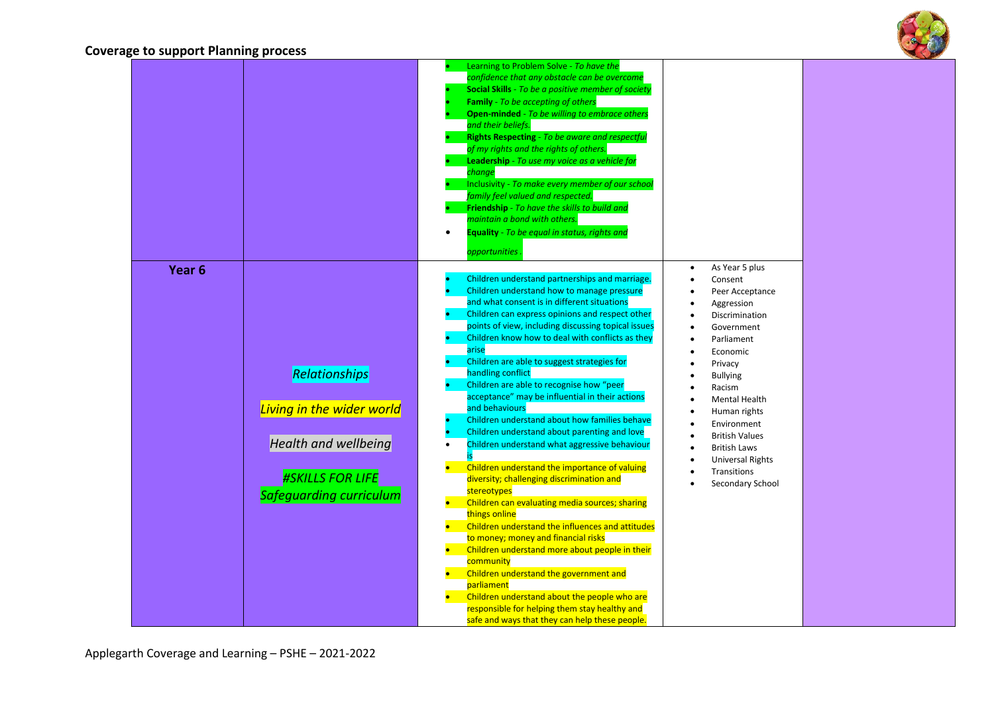

|                   |                                                           | Learning to Problem Solve - To have the<br>confidence that any obstacle can be overcome<br><b>Social Skills</b> - To be a positive member of society<br><b>Family</b> - To be accepting of others<br><b>Open-minded</b> - To be willing to embrace others<br>and their beliefs.<br>Rights Respecting - To be aware and respectful<br>of my rights and the rights of others.<br>Leadership - To use my voice as a vehicle for<br>change<br>Inclusivity - To make every member of our school<br>family feel valued and respected.<br>Friendship - To have the skills to build and<br>maintain a bond with others.<br><b>Equality</b> - To be equal in status, rights and |                                                                                                    |  |
|-------------------|-----------------------------------------------------------|------------------------------------------------------------------------------------------------------------------------------------------------------------------------------------------------------------------------------------------------------------------------------------------------------------------------------------------------------------------------------------------------------------------------------------------------------------------------------------------------------------------------------------------------------------------------------------------------------------------------------------------------------------------------|----------------------------------------------------------------------------------------------------|--|
| Year <sub>6</sub> |                                                           | opportunities                                                                                                                                                                                                                                                                                                                                                                                                                                                                                                                                                                                                                                                          | As Year 5 plus<br>$\bullet$                                                                        |  |
|                   |                                                           | Children understand partnerships and marriage.<br>Children understand how to manage pressure<br>and what consent is in different situations<br>Children can express opinions and respect other<br>points of view, including discussing topical issues<br>Children know how to deal with conflicts as they<br>arise                                                                                                                                                                                                                                                                                                                                                     | Consent<br>Peer Acceptance<br>Aggression<br>Discrimination<br>Government<br>Parliament<br>Economic |  |
|                   | <b>Relationships</b><br>Living in the wider world         | Children are able to suggest strategies for<br>handling conflict<br>Children are able to recognise how "peer<br>acceptance" may be influential in their actions<br>and behaviours                                                                                                                                                                                                                                                                                                                                                                                                                                                                                      | Privacy<br><b>Bullying</b><br>Racism<br><b>Mental Health</b>                                       |  |
|                   | <b>Health and wellbeing</b>                               | Children understand about how families behave<br>Children understand about parenting and love<br>Children understand what aggressive behaviour                                                                                                                                                                                                                                                                                                                                                                                                                                                                                                                         | Human rights<br>Environment<br><b>British Values</b>                                               |  |
|                   | <b>#SKILLS FOR LIFE</b><br><b>Safeguarding curriculum</b> | Children understand the importance of valuing<br>diversity; challenging discrimination and<br>stereotypes                                                                                                                                                                                                                                                                                                                                                                                                                                                                                                                                                              | <b>British Laws</b><br><b>Universal Rights</b><br>Transitions<br>Secondary School                  |  |
|                   |                                                           | Children can evaluating media sources; sharing<br>things online<br>Children understand the influences and attitudes<br>to money; money and financial risks                                                                                                                                                                                                                                                                                                                                                                                                                                                                                                             |                                                                                                    |  |
|                   |                                                           | Children understand more about people in their<br>community<br>Children understand the government and<br>parliament                                                                                                                                                                                                                                                                                                                                                                                                                                                                                                                                                    |                                                                                                    |  |
|                   |                                                           | Children understand about the people who are<br>responsible for helping them stay healthy and<br>safe and ways that they can help these people.                                                                                                                                                                                                                                                                                                                                                                                                                                                                                                                        |                                                                                                    |  |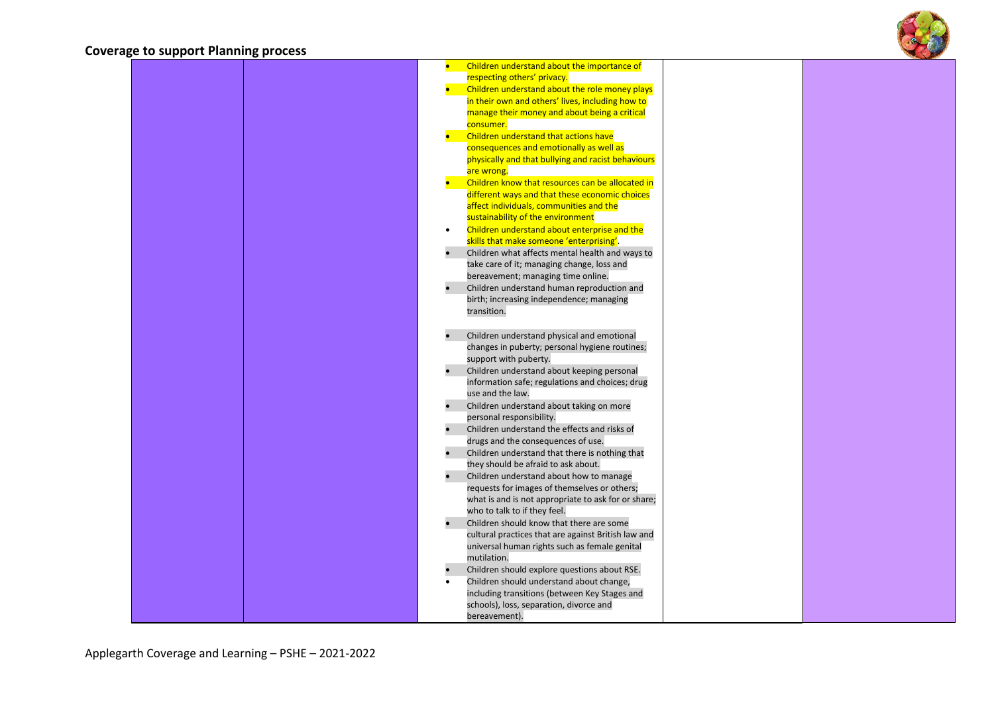

|  | Children understand about the importance of               |  |
|--|-----------------------------------------------------------|--|
|  | respecting others' privacy.                               |  |
|  | Children understand about the role money plays            |  |
|  | in their own and others' lives, including how to          |  |
|  | manage their money and about being a critical             |  |
|  | consumer.                                                 |  |
|  | Children understand that actions have                     |  |
|  | consequences and emotionally as well as                   |  |
|  | physically and that bullying and racist behaviours        |  |
|  | are wrong.                                                |  |
|  | Children know that resources can be allocated in          |  |
|  | different ways and that these economic choices            |  |
|  | affect individuals, communities and the                   |  |
|  | sustainability of the environment                         |  |
|  | Children understand about enterprise and the<br>$\bullet$ |  |
|  | skills that make someone 'enterprising'.                  |  |
|  | Children what affects mental health and ways to           |  |
|  | take care of it; managing change, loss and                |  |
|  | bereavement; managing time online.                        |  |
|  | Children understand human reproduction and                |  |
|  | birth; increasing independence; managing<br>transition.   |  |
|  |                                                           |  |
|  | Children understand physical and emotional                |  |
|  | changes in puberty; personal hygiene routines;            |  |
|  | support with puberty.                                     |  |
|  | Children understand about keeping personal                |  |
|  | information safe; regulations and choices; drug           |  |
|  | use and the law.                                          |  |
|  | Children understand about taking on more                  |  |
|  | personal responsibility.                                  |  |
|  | Children understand the effects and risks of              |  |
|  | drugs and the consequences of use.                        |  |
|  | Children understand that there is nothing that            |  |
|  | they should be afraid to ask about.                       |  |
|  | Children understand about how to manage                   |  |
|  | requests for images of themselves or others;              |  |
|  | what is and is not appropriate to ask for or share;       |  |
|  | who to talk to if they feel.                              |  |
|  | Children should know that there are some                  |  |
|  | cultural practices that are against British law and       |  |
|  | universal human rights such as female genital             |  |
|  | mutilation.                                               |  |
|  | Children should explore questions about RSE.              |  |
|  | Children should understand about change,<br>$\bullet$     |  |
|  | including transitions (between Key Stages and             |  |
|  | schools), loss, separation, divorce and                   |  |
|  | bereavement).                                             |  |